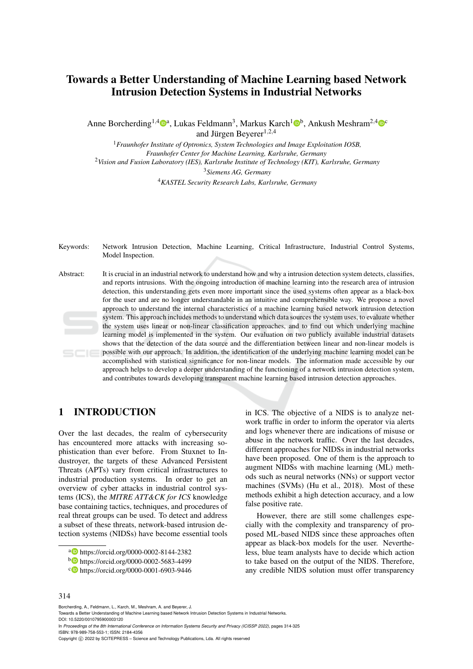# Towards a Better Understanding of Machine Learning based Network Intrusion Detection Systems in Industrial Networks

Anne Borcherding<sup>1,4</sup><sup>0</sup>ª, Lukas Feldmann<sup>3</sup>, Markus Karch<sup>1</sup><sup>0b</sup>, Ankush Meshram<sup>2,4</sup><sup>0</sup>° and Jürgen Beyerer<sup>1,2,4</sup>

*Fraunhofer Institute of Optronics, System Technologies and Image Exploitation IOSB, Fraunhofer Center for Machine Learning, Karlsruhe, Germany Vision and Fusion Laboratory (IES), Karlsruhe Institute of Technology (KIT), Karlsruhe, Germany Siemens AG, Germany KASTEL Security Research Labs, Karlsruhe, Germany*

Keywords: Network Intrusion Detection, Machine Learning, Critical Infrastructure, Industrial Control Systems, Model Inspection.

Abstract: It is crucial in an industrial network to understand how and why a intrusion detection system detects, classifies, and reports intrusions. With the ongoing introduction of machine learning into the research area of intrusion detection, this understanding gets even more important since the used systems often appear as a black-box for the user and are no longer understandable in an intuitive and comprehensible way. We propose a novel approach to understand the internal characteristics of a machine learning based network intrusion detection system. This approach includes methods to understand which data sources the system uses, to evaluate whether the system uses linear or non-linear classification approaches, and to find out which underlying machine learning model is implemented in the system. Our evaluation on two publicly available industrial datasets shows that the detection of the data source and the differentiation between linear and non-linear models is possible with our approach. In addition, the identification of the underlying machine learning model can be accomplished with statistical significance for non-linear models. The information made accessible by our approach helps to develop a deeper understanding of the functioning of a network intrusion detection system, and contributes towards developing transparent machine learning based intrusion detection approaches.

# 1 INTRODUCTION

Over the last decades, the realm of cybersecurity has encountered more attacks with increasing sophistication than ever before. From Stuxnet to Industroyer, the targets of these Advanced Persistent Threats (APTs) vary from critical infrastructures to industrial production systems. In order to get an overview of cyber attacks in industrial control systems (ICS), the *MITRE ATT&CK for ICS* knowledge base containing tactics, techniques, and procedures of real threat groups can be used. To detect and address a subset of these threats, network-based intrusion detection systems (NIDSs) have become essential tools

in ICS. The objective of a NIDS is to analyze network traffic in order to inform the operator via alerts and logs whenever there are indications of misuse or abuse in the network traffic. Over the last decades, different approaches for NIDSs in industrial networks have been proposed. One of them is the approach to augment NIDSs with machine learning (ML) methods such as neural networks (NNs) or support vector machines (SVMs) (Hu et al., 2018). Most of these methods exhibit a high detection accuracy, and a low false positive rate.

However, there are still some challenges especially with the complexity and transparency of proposed ML-based NIDS since these approaches often appear as black-box models for the user. Nevertheless, blue team analysts have to decide which action to take based on the output of the NIDS. Therefore, any credible NIDS solution must offer transparency

#### 314

Borcherding, A., Feldmann, L., Karch, M., Meshram, A. and Beyerer, J.

In *Proceedings of the 8th International Conference on Information Systems Security and Privacy (ICISSP 2022)*, pages 314-325 ISBN: 978-989-758-553-1; ISSN: 2184-4356

a https://orcid.org/0000-0002-8144-2382

<sup>b</sup> https://orcid.org/0000-0002-5683-4499

<sup>c</sup> https://orcid.org/0000-0001-6903-9446

Towards a Better Understanding of Machine Learning based Network Intrusion Detection Systems in Industrial Networks. DOI: 10.5220/0010795900003120

Copyright C 2022 by SCITEPRESS - Science and Technology Publications, Lda. All rights reserved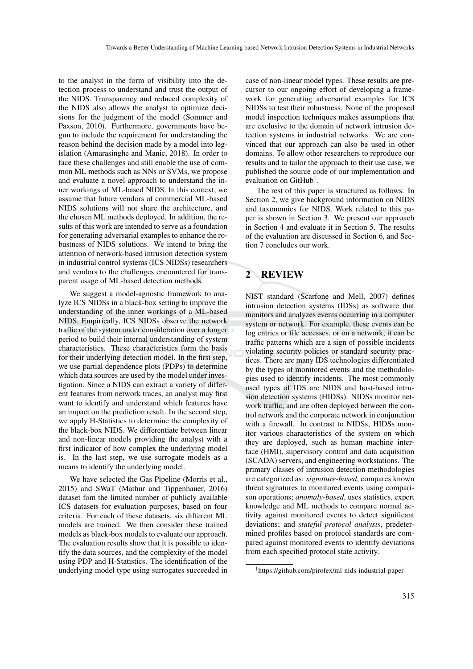to the analyst in the form of visibility into the detection process to understand and trust the output of the NIDS. Transparency and reduced complexity of the NIDS also allows the analyst to optimize decisions for the judgment of the model (Sommer and Paxson, 2010). Furthermore, governments have begun to include the requirement for understanding the reason behind the decision made by a model into legislation (Amarasinghe and Manic, 2018). In order to face these challenges and still enable the use of common ML methods such as NNs or SVMs, we propose and evaluate a novel approach to understand the inner workings of ML-based NIDS. In this context, we assume that future vendors of commercial ML-based NIDS solutions will not share the architecture, and the chosen ML methods deployed. In addition, the results of this work are intended to serve as a foundation for generating adversarial examples to enhance the robustness of NIDS solutions. We intend to bring the attention of network-based intrusion detection system in industrial control systems (ICS NIDSs) researchers and vendors to the challenges encountered for transparent usage of ML-based detection methods.

We suggest a model-agnostic framework to analyze ICS NIDSs in a black-box setting to improve the understanding of the inner workings of a ML-based NIDS. Empirically, ICS NIDSs observe the network traffic of the system under consideration over a longer period to build their internal understanding of system characteristics. These characteristics form the basis for their underlying detection model. In the first step, we use partial dependence plots (PDPs) to determine which data sources are used by the model under investigation. Since a NIDS can extract a variety of different features from network traces, an analyst may first want to identify and understand which features have an impact on the prediction result. In the second step, we apply H-Statistics to determine the complexity of the black-box NIDS. We differentiate between linear and non-linear models providing the analyst with a first indicator of how complex the underlying model is. In the last step, we use surrogate models as a means to identify the underlying model.

We have selected the Gas Pipeline (Morris et al., 2015) and SWaT (Mathur and Tippenhauer, 2016) dataset fom the limited number of publicly available ICS datasets for evaluation purposes, based on four criteria. For each of these datasets, six different ML models are trained. We then consider these trained models as black-box models to evaluate our approach. The evaluation results show that it is possible to identify the data sources, and the complexity of the model using PDP and H-Statistics. The identification of the underlying model type using surrogates succeeded in case of non-linear model types. These results are precursor to our ongoing effort of developing a framework for generating adversarial examples for ICS NIDSs to test their robustness. None of the proposed model inspection techniques makes assumptions that are exclusive to the domain of network intrusion detection systems in industrial networks. We are convinced that our approach can also be used in other domains. To allow other researchers to reproduce our results and to tailor the approach to their use case, we published the source code of our implementation and evaluation on GitHub<sup>1</sup>.

The rest of this paper is structured as follows. In Section 2, we give background information on NIDS and taxonomies for NIDS. Work related to this paper is shown in Section 3. We present our approach in Section 4 and evaluate it in Section 5. The results of the evaluation are discussed in Section 6, and Section 7 concludes our work.

# 2 REVIEW

NIST standard (Scarfone and Mell, 2007) defines intrusion detection systems (IDSs) as software that monitors and analyzes events occurring in a computer system or network. For example, these events can be log entries or file accesses, or on a network, it can be traffic patterns which are a sign of possible incidents violating security policies or standard security practices. There are many IDS technologies differentiated by the types of monitored events and the methodologies used to identify incidents. The most commonly used types of IDS are NIDS and host-based intrusion detection systems (HIDSs). NIDSs monitor network traffic, and are often deployed between the control network and the corporate network in conjunction with a firewall. In contrast to NIDSs, HIDSs monitor various characteristics of the system on which they are deployed, such as human machine interface (HMI), supervisory control and data acquisition (SCADA) servers, and engineering workstations. The primary classes of intrusion detection methodologies are categorized as: *signature-based*, compares known threat signatures to monitored events using comparison operations; *anomaly-based*, uses statistics, expert knowledge and ML methods to compare normal activity against monitored events to detect significant deviations; and *stateful protocol analysis*, predetermined profiles based on protocol standards are compared against monitored events to identify deviations from each specified protocol state activity.

<sup>1</sup>https://github.com/pirofex/ml-nids-industrial-paper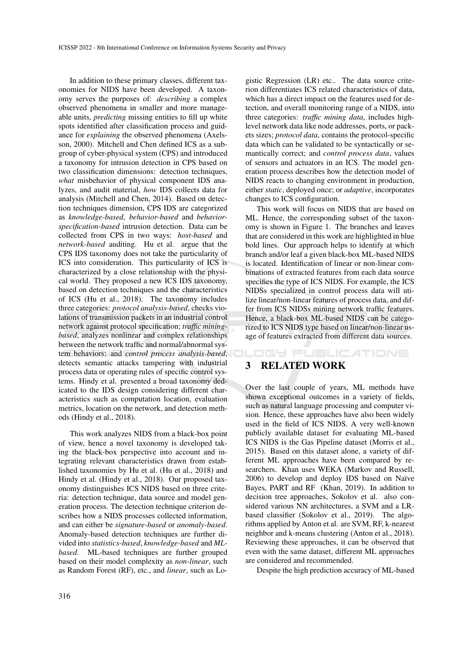In addition to these primary classes, different taxonomies for NIDS have been developed. A taxonomy serves the purposes of: *describing* a complex observed phenomena in smaller and more manageable units, *predicting* missing entities to fill up white spots identified after classification process and guidance for *explaining* the observed phenomena (Axelsson, 2000). Mitchell and Chen defined ICS as a subgroup of cyber-physical system (CPS) and introduced a taxonomy for intrusion detection in CPS based on two classification dimensions: detection techniques, *what* misbehavior of physical component IDS analyzes, and audit material, *how* IDS collects data for analysis (Mitchell and Chen, 2014). Based on detection techniques dimension, CPS IDS are categorized as *knowledge-based*, *behavior-based* and *behaviorspecification-based* intrusion detection. Data can be collected from CPS in two ways: *host-based* and *network-based* auditing. Hu et al. argue that the CPS IDS taxonomy does not take the particularity of ICS into consideration. This particularity of ICS is characterized by a close relationship with the physical world. They proposed a new ICS IDS taxonomy, based on detection techniques and the characteristics of ICS (Hu et al., 2018). The taxonomy includes three categories: *protocol analysis-based*, checks violations of transmission packets in an industrial control network against protocol specification; *traffic miningbased*, analyzes nonlinear and complex relationships between the network traffic and normal/abnormal system behaviors; and *control process analysis-based*, detects semantic attacks tampering with industrial process data or operating rules of specific control systems. Hindy et al. presented a broad taxonomy dedicated to the IDS design considering different characteristics such as computation location, evaluation metrics, location on the network, and detection methods (Hindy et al., 2018).

This work analyzes NIDS from a black-box point of view, hence a novel taxonomy is developed taking the black-box perspective into account and integrating relevant characteristics drawn from established taxonomies by Hu et al. (Hu et al., 2018) and Hindy et al. (Hindy et al., 2018). Our proposed taxonomy distinguishes ICS NIDS based on three criteria: detection technique, data source and model generation process. The detection technique criterion describes how a NIDS processes collected information, and can either be *signature-based* or *anomaly-based*. Anomaly-based detection techniques are further divided into *statistics-based*, *knowledge-based* and *MLbased*. ML-based techniques are further grouped based on their model complexity as *non-linear*, such as Random Forest (RF), etc., and *linear*, such as Lo-

gistic Regression (LR) etc.. The data source criterion differentiates ICS related characteristics of data, which has a direct impact on the features used for detection, and overall monitoring range of a NIDS, into three categories: *traffic mining data*, includes highlevel network data like node addresses, ports, or packets sizes; *protocol data*, contains the protocol-specific data which can be validated to be syntactically or semantically correct; and *control process data*, values of sensors and actuators in an ICS. The model generation process describes how the detection model of NIDS reacts to changing environment in production, either *static*, deployed once; or *adaptive*, incorporates changes to ICS configuration.

This work will focus on NIDS that are based on ML. Hence, the corresponding subset of the taxonomy is shown in Figure 1. The branches and leaves that are considered in this work are highlighted in blue bold lines. Our approach helps to identify at which branch and/or leaf a given black-box ML-based NIDS is located. Identification of linear or non-linear combinations of extracted features from each data source specifies the type of ICS NIDS. For example, the ICS NIDSs specialized in control process data will utilize linear/non-linear features of process data, and differ from ICS NIDSs mining network traffic features. Hence, a black-box ML-based NIDS can be categorized to ICS NIDS type based on linear/non-linear usage of features extracted from different data sources.

**DGY PUBLICATIONS** 3 RELATED WORK

Over the last couple of years, ML methods have shown exceptional outcomes in a variety of fields, such as natural language processing and computer vision. Hence, these approaches have also been widely used in the field of ICS NIDS. A very well-known publicly available dataset for evaluating ML-based ICS NIDS is the Gas Pipeline dataset (Morris et al., 2015). Based on this dataset alone, a variety of different ML approaches have been compared by researchers. Khan uses WEKA (Markov and Russell, 2006) to develop and deploy IDS based on Naïve Bayes, PART and RF (Khan, 2019). In addition to decision tree approaches, Sokolov et al. also considered various NN architectures, a SVM and a LRbased classifier (Sokolov et al., 2019). The algorithms applied by Anton et al. are SVM, RF, k-nearest neighbor and k-means clustering (Anton et al., 2018). Reviewing these approaches, it can be observed that even with the same dataset, different ML approaches are considered and recommended.

Despite the high prediction accuracy of ML-based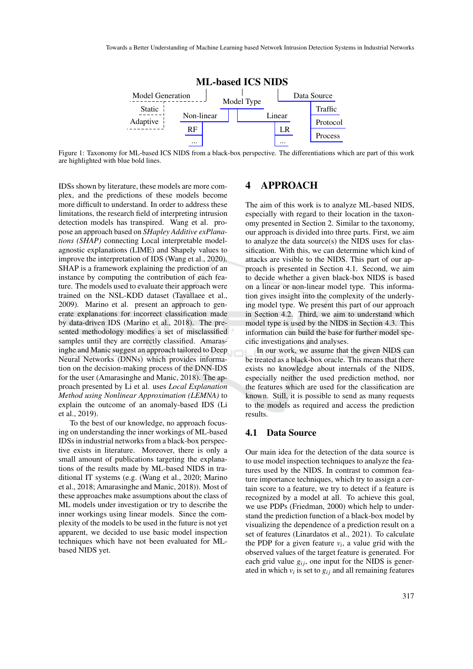

Figure 1: Taxonomy for ML-based ICS NIDS from a black-box perspective. The differentiations which are part of this work are highlighted with blue bold lines.

IDSs shown by literature, these models are more complex, and the predictions of these models become more difficult to understand. In order to address these limitations, the research field of interpreting intrusion detection models has transpired. Wang et al. propose an approach based on *SHapley Additive exPlanations (SHAP)* connecting Local interpretable modelagnostic explanations (LIME) and Shapely values to improve the interpretation of IDS (Wang et al., 2020). SHAP is a framework explaining the prediction of an instance by computing the contribution of each feature. The models used to evaluate their approach were trained on the NSL-KDD dataset (Tavallaee et al., 2009). Marino et al. present an approach to generate explanations for incorrect classification made by data-driven IDS (Marino et al., 2018). The presented methodology modifies a set of misclassified samples until they are correctly classified. Amarasinghe and Manic suggest an approach tailored to Deep Neural Networks (DNNs) which provides information on the decision-making process of the DNN-IDS for the user (Amarasinghe and Manic, 2018). The approach presented by Li et al. uses *Local Explanation Method using Nonlinear Approximation (LEMNA)* to explain the outcome of an anomaly-based IDS (Li et al., 2019).

To the best of our knowledge, no approach focusing on understanding the inner workings of ML-based IDSs in industrial networks from a black-box perspective exists in literature. Moreover, there is only a small amount of publications targeting the explanations of the results made by ML-based NIDS in traditional IT systems (e.g. (Wang et al., 2020; Marino et al., 2018; Amarasinghe and Manic, 2018)). Most of these approaches make assumptions about the class of ML models under investigation or try to describe the inner workings using linear models. Since the complexity of the models to be used in the future is not yet apparent, we decided to use basic model inspection techniques which have not been evaluated for MLbased NIDS yet.

# 4 APPROACH

The aim of this work is to analyze ML-based NIDS, especially with regard to their location in the taxonomy presented in Section 2. Similar to the taxonomy, our approach is divided into three parts. First, we aim to analyze the data source(s) the NIDS uses for classification. With this, we can determine which kind of attacks are visible to the NIDS. This part of our approach is presented in Section 4.1. Second, we aim to decide whether a given black-box NIDS is based on a linear or non-linear model type. This information gives insight into the complexity of the underlying model type. We present this part of our approach in Section 4.2. Third, we aim to understand which model type is used by the NIDS in Section 4.3. This information can build the base for further model specific investigations and analyses.

In our work, we assume that the given NIDS can be treated as a black-box oracle. This means that there exists no knowledge about internals of the NIDS, especially neither the used prediction method, nor the features which are used for the classification are known. Still, it is possible to send as many requests to the models as required and access the prediction results.

## 4.1 Data Source

Our main idea for the detection of the data source is to use model inspection techniques to analyze the features used by the NIDS. In contrast to common feature importance techniques, which try to assign a certain score to a feature, we try to detect if a feature is recognized by a model at all. To achieve this goal, we use PDPs (Friedman, 2000) which help to understand the prediction function of a black-box model by visualizing the dependence of a prediction result on a set of features (Linardatos et al., 2021). To calculate the PDP for a given feature  $v_i$ , a value grid with the observed values of the target feature is generated. For each grid value  $g_{ij}$ , one input for the NIDS is generated in which  $v_i$  is set to  $g_{ij}$  and all remaining features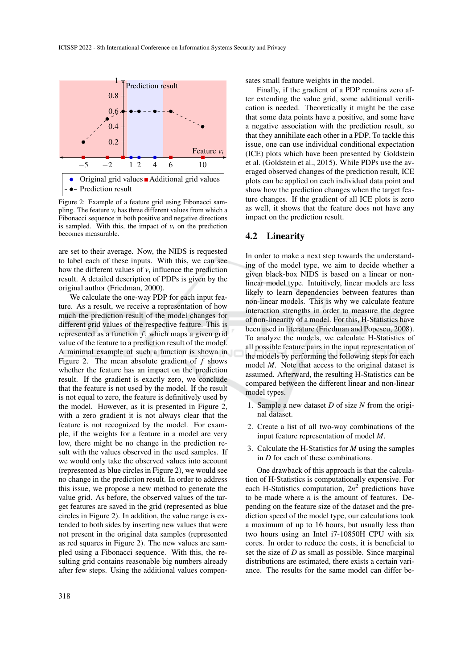

Figure 2: Example of a feature grid using Fibonacci sampling. The feature *vi* has three different values from which a Fibonacci sequence in both positive and negative directions is sampled. With this, the impact of  $v_i$  on the prediction becomes measurable.

are set to their average. Now, the NIDS is requested to label each of these inputs. With this, we can see how the different values of  $v_i$  influence the prediction result. A detailed description of PDPs is given by the original author (Friedman, 2000).

We calculate the one-way PDP for each input feature. As a result, we receive a representation of how much the prediction result of the model changes for different grid values of the respective feature. This is represented as a function  $f$ , which maps a given grid value of the feature to a prediction result of the model. A minimal example of such a function is shown in Figure 2. The mean absolute gradient of *f* shows whether the feature has an impact on the prediction result. If the gradient is exactly zero, we conclude that the feature is not used by the model. If the result is not equal to zero, the feature is definitively used by the model. However, as it is presented in Figure 2, with a zero gradient it is not always clear that the feature is not recognized by the model. For example, if the weights for a feature in a model are very low, there might be no change in the prediction result with the values observed in the used samples. If we would only take the observed values into account (represented as blue circles in Figure 2), we would see no change in the prediction result. In order to address this issue, we propose a new method to generate the value grid. As before, the observed values of the target features are saved in the grid (represented as blue circles in Figure 2). In addition, the value range is extended to both sides by inserting new values that were not present in the original data samples (represented as red squares in Figure 2). The new values are sampled using a Fibonacci sequence. With this, the resulting grid contains reasonable big numbers already after few steps. Using the additional values compensates small feature weights in the model.

Finally, if the gradient of a PDP remains zero after extending the value grid, some additional verification is needed. Theoretically it might be the case that some data points have a positive, and some have a negative association with the prediction result, so that they annihilate each other in a PDP. To tackle this issue, one can use individual conditional expectation (ICE) plots which have been presented by Goldstein et al. (Goldstein et al., 2015). While PDPs use the averaged observed changes of the prediction result, ICE plots can be applied on each individual data point and show how the prediction changes when the target feature changes. If the gradient of all ICE plots is zero as well, it shows that the feature does not have any impact on the prediction result.

### 4.2 Linearity

In order to make a next step towards the understanding of the model type, we aim to decide whether a given black-box NIDS is based on a linear or nonlinear model type. Intuitively, linear models are less likely to learn dependencies between features than non-linear models. This is why we calculate feature interaction strengths in order to measure the degree of non-linearity of a model. For this, H-Statistics have been used in literature (Friedman and Popescu, 2008). To analyze the models, we calculate H-Statistics of all possible feature pairs in the input representation of the models by performing the following steps for each model *M*. Note that access to the original dataset is assumed. Afterward, the resulting H-Statistics can be compared between the different linear and non-linear model types.

- 1. Sample a new dataset *D* of size *N* from the original dataset.
- 2. Create a list of all two-way combinations of the input feature representation of model *M*.
- 3. Calculate the H-Statistics for *M* using the samples in *D* for each of these combinations.

One drawback of this approach is that the calculation of H-Statistics is computationally expensive. For each H-Statistics computation,  $2n^2$  predictions have to be made where *n* is the amount of features. Depending on the feature size of the dataset and the prediction speed of the model type, our calculations took a maximum of up to 16 hours, but usually less than two hours using an Intel i7-10850H CPU with six cores. In order to reduce the costs, it is beneficial to set the size of *D* as small as possible. Since marginal distributions are estimated, there exists a certain variance. The results for the same model can differ be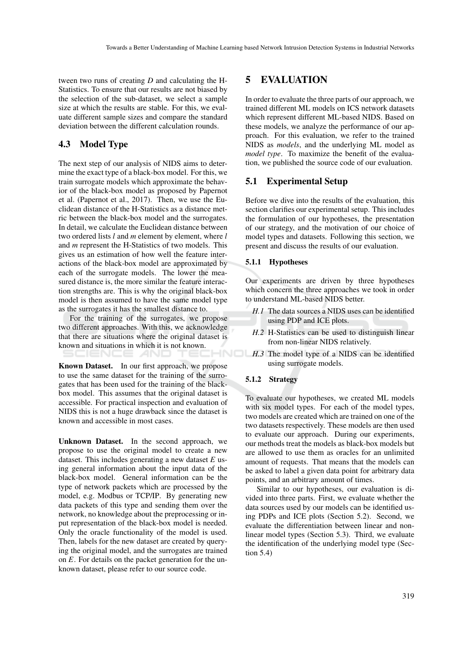tween two runs of creating *D* and calculating the H-Statistics. To ensure that our results are not biased by the selection of the sub-dataset, we select a sample size at which the results are stable. For this, we evaluate different sample sizes and compare the standard deviation between the different calculation rounds.

# 4.3 Model Type

The next step of our analysis of NIDS aims to determine the exact type of a black-box model. For this, we train surrogate models which approximate the behavior of the black-box model as proposed by Papernot et al. (Papernot et al., 2017). Then, we use the Euclidean distance of the H-Statistics as a distance metric between the black-box model and the surrogates. In detail, we calculate the Euclidean distance between two ordered lists *l* and *m* element by element, where *l* and *m* represent the H-Statistics of two models. This gives us an estimation of how well the feature interactions of the black-box model are approximated by each of the surrogate models. The lower the measured distance is, the more similar the feature interaction strengths are. This is why the original black-box model is then assumed to have the same model type as the surrogates it has the smallest distance to.

For the training of the surrogates, we propose two different approaches. With this, we acknowledge that there are situations where the original dataset is known and situations in which it is not known. ENCE *A*ND

Known Dataset. In our first approach, we propose to use the same dataset for the training of the surrogates that has been used for the training of the blackbox model. This assumes that the original dataset is accessible. For practical inspection and evaluation of NIDS this is not a huge drawback since the dataset is known and accessible in most cases.

Unknown Dataset. In the second approach, we propose to use the original model to create a new dataset. This includes generating a new dataset *E* using general information about the input data of the black-box model. General information can be the type of network packets which are processed by the model, e.g. Modbus or TCP/IP. By generating new data packets of this type and sending them over the network, no knowledge about the preprocessing or input representation of the black-box model is needed. Only the oracle functionality of the model is used. Then, labels for the new dataset are created by querying the original model, and the surrogates are trained on *E*. For details on the packet generation for the unknown dataset, please refer to our source code.

# 5 EVALUATION

In order to evaluate the three parts of our approach, we trained different ML models on ICS network datasets which represent different ML-based NIDS. Based on these models, we analyze the performance of our approach. For this evaluation, we refer to the trained NIDS as *models*, and the underlying ML model as *model type*. To maximize the benefit of the evaluation, we published the source code of our evaluation.

### 5.1 Experimental Setup

Before we dive into the results of the evaluation, this section clarifies our experimental setup. This includes the formulation of our hypotheses, the presentation of our strategy, and the motivation of our choice of model types and datasets. Following this section, we present and discuss the results of our evaluation.

#### 5.1.1 Hypotheses

Our experiments are driven by three hypotheses which concern the three approaches we took in order to understand ML-based NIDS better.

- *H.1* The data sources a NIDS uses can be identified using PDP and ICE plots.
- *H.2* H-Statistics can be used to distinguish linear from non-linear NIDS relatively.
- *H.3* The model type of a NIDS can be identified using surrogate models.

### 5.1.2 Strategy

To evaluate our hypotheses, we created ML models with six model types. For each of the model types, two models are created which are trained on one of the two datasets respectively. These models are then used to evaluate our approach. During our experiments, our methods treat the models as black-box models but are allowed to use them as oracles for an unlimited amount of requests. That means that the models can be asked to label a given data point for arbitrary data points, and an arbitrary amount of times.

Similar to our hypotheses, our evaluation is divided into three parts. First, we evaluate whether the data sources used by our models can be identified using PDPs and ICE plots (Section 5.2). Second, we evaluate the differentiation between linear and nonlinear model types (Section 5.3). Third, we evaluate the identification of the underlying model type (Section 5.4)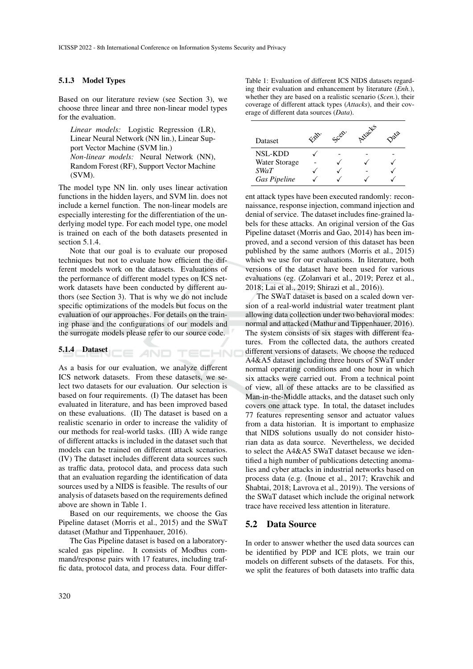#### 5.1.3 Model Types

Based on our literature review (see Section 3), we choose three linear and three non-linear model types for the evaluation.

*Linear models:* Logistic Regression (LR), Linear Neural Network (NN lin.), Linear Support Vector Machine (SVM lin.) *Non-linear models:* Neural Network (NN), Random Forest (RF), Support Vector Machine (SVM).

The model type NN lin. only uses linear activation functions in the hidden layers, and SVM lin. does not include a kernel function. The non-linear models are especially interesting for the differentiation of the underlying model type. For each model type, one model is trained on each of the both datasets presented in section 5.1.4.

Note that our goal is to evaluate our proposed techniques but not to evaluate how efficient the different models work on the datasets. Evaluations of the performance of different model types on ICS network datasets have been conducted by different authors (see Section 3). That is why we do not include specific optimizations of the models but focus on the evaluation of our approaches. For details on the training phase and the configurations of our models and the surrogate models please refer to our source code.

**E AND TECHNO** 

#### 5.1.4 Dataset

As a basis for our evaluation, we analyze different ICS network datasets. From these datasets, we select two datasets for our evaluation. Our selection is based on four requirements. (I) The dataset has been evaluated in literature, and has been improved based on these evaluations. (II) The dataset is based on a realistic scenario in order to increase the validity of our methods for real-world tasks. (III) A wide range of different attacks is included in the dataset such that models can be trained on different attack scenarios. (IV) The dataset includes different data sources such as traffic data, protocol data, and process data such that an evaluation regarding the identification of data sources used by a NIDS is feasible. The results of our analysis of datasets based on the requirements defined above are shown in Table 1.

Based on our requirements, we choose the Gas Pipeline dataset (Morris et al., 2015) and the SWaT dataset (Mathur and Tippenhauer, 2016).

The Gas Pipeline dataset is based on a laboratoryscaled gas pipeline. It consists of Modbus command/response pairs with 17 features, including traffic data, protocol data, and process data. Four differTable 1: Evaluation of different ICS NIDS datasets regarding their evaluation and enhancement by literature (*Enh.*), whether they are based on a realistic scenario (*Scen.*), their coverage of different attack types (*Attacks*), and their coverage of different data sources (*Data*).

| Dataset             | Esp. | Scen. | Arracts | ~ 22 |
|---------------------|------|-------|---------|------|
| <b>NSL-KDD</b>      |      |       |         |      |
| Water Storage       |      |       |         |      |
| <i>SWaT</i>         |      |       |         |      |
| <b>Gas Pipeline</b> |      |       |         |      |

ent attack types have been executed randomly: reconnaissance, response injection, command injection and denial of service. The dataset includes fine-grained labels for these attacks. An original version of the Gas Pipeline dataset (Morris and Gao, 2014) has been improved, and a second version of this dataset has been published by the same authors (Morris et al., 2015) which we use for our evaluations. In literature, both versions of the dataset have been used for various evaluations (eg. (Zolanvari et al., 2019; Perez et al., 2018; Lai et al., 2019; Shirazi et al., 2016)).

The SWaT dataset is based on a scaled down version of a real-world industrial water treatment plant allowing data collection under two behavioral modes: normal and attacked (Mathur and Tippenhauer, 2016). The system consists of six stages with different features. From the collected data, the authors created different versions of datasets. We choose the reduced A4&A5 dataset including three hours of SWaT under normal operating conditions and one hour in which six attacks were carried out. From a technical point of view, all of these attacks are to be classified as Man-in-the-Middle attacks, and the dataset such only covers one attack type. In total, the dataset includes 77 features representing sensor and actuator values from a data historian. It is important to emphasize that NIDS solutions usually do not consider historian data as data source. Nevertheless, we decided to select the A4&A5 SWaT dataset because we identified a high number of publications detecting anomalies and cyber attacks in industrial networks based on process data (e.g. (Inoue et al., 2017; Kravchik and Shabtai, 2018; Lavrova et al., 2019)). The versions of the SWaT dataset which include the original network trace have received less attention in literature.

#### 5.2 Data Source

In order to answer whether the used data sources can be identified by PDP and ICE plots, we train our models on different subsets of the datasets. For this, we split the features of both datasets into traffic data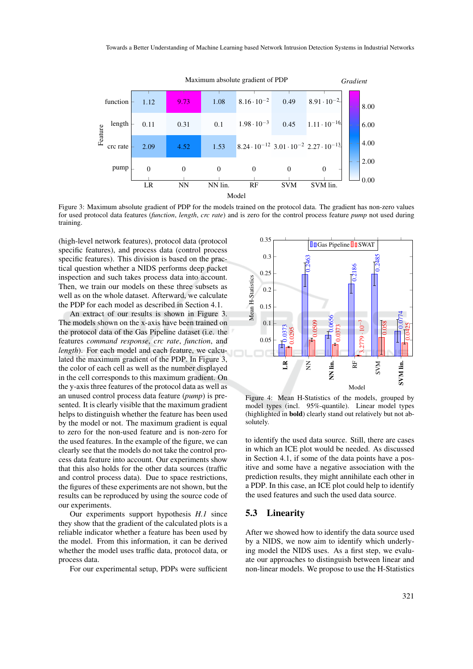

Figure 3: Maximum absolute gradient of PDP for the models trained on the protocol data. The gradient has non-zero values for used protocol data features (*function*, *length*, *crc rate*) and is zero for the control process feature *pump* not used during training.

(high-level network features), protocol data (protocol specific features), and process data (control process specific features). This division is based on the practical question whether a NIDS performs deep packet inspection and such takes process data into account. Then, we train our models on these three subsets as well as on the whole dataset. Afterward, we calculate the PDP for each model as described in Section 4.1.

An extract of our results is shown in Figure 3. The models shown on the x-axis have been trained on the protocol data of the Gas Pipeline dataset (i.e. the features *command response*, *crc rate*, *function*, and *length*). For each model and each feature, we calculated the maximum gradient of the PDP. In Figure 3, the color of each cell as well as the number displayed in the cell corresponds to this maximum gradient. On the y-axis three features of the protocol data as well as an unused control process data feature (*pump*) is presented. It is clearly visible that the maximum gradient helps to distinguish whether the feature has been used by the model or not. The maximum gradient is equal to zero for the non-used feature and is non-zero for the used features. In the example of the figure, we can clearly see that the models do not take the control process data feature into account. Our experiments show that this also holds for the other data sources (traffic and control process data). Due to space restrictions, the figures of these experiments are not shown, but the results can be reproduced by using the source code of our experiments.

Our experiments support hypothesis *H.1* since they show that the gradient of the calculated plots is a reliable indicator whether a feature has been used by the model. From this information, it can be derived whether the model uses traffic data, protocol data, or process data.

For our experimental setup, PDPs were sufficient



Figure 4: Mean H-Statistics of the models, grouped by model types (incl. 95%-quantile). Linear model types (highlighted in bold) clearly stand out relatively but not absolutely.

to identify the used data source. Still, there are cases in which an ICE plot would be needed. As discussed in Section 4.1, if some of the data points have a positive and some have a negative association with the prediction results, they might annihilate each other in a PDP. In this case, an ICE plot could help to identify the used features and such the used data source.

#### 5.3 Linearity

After we showed how to identify the data source used by a NIDS, we now aim to identify which underlying model the NIDS uses. As a first step, we evaluate our approaches to distinguish between linear and non-linear models. We propose to use the H-Statistics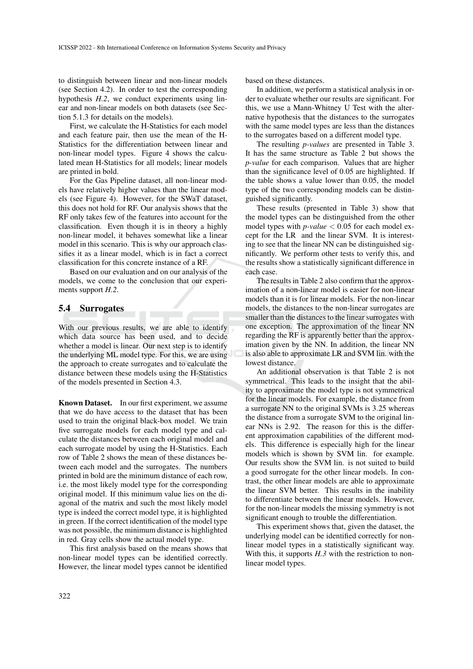to distinguish between linear and non-linear models (see Section 4.2). In order to test the corresponding hypothesis *H.2*, we conduct experiments using linear and non-linear models on both datasets (see Section 5.1.3 for details on the models).

First, we calculate the H-Statistics for each model and each feature pair, then use the mean of the H-Statistics for the differentiation between linear and non-linear model types. Figure 4 shows the calculated mean H-Statistics for all models; linear models are printed in bold.

For the Gas Pipeline dataset, all non-linear models have relatively higher values than the linear models (see Figure 4). However, for the SWaT dataset, this does not hold for RF. Our analysis shows that the RF only takes few of the features into account for the classification. Even though it is in theory a highly non-linear model, it behaves somewhat like a linear model in this scenario. This is why our approach classifies it as a linear model, which is in fact a correct classification for this concrete instance of a RF.

Based on our evaluation and on our analysis of the models, we come to the conclusion that our experiments support *H.2*.

### 5.4 Surrogates

With our previous results, we are able to identify which data source has been used, and to decide whether a model is linear. Our next step is to identify the underlying ML model type. For this, we are using the approach to create surrogates and to calculate the distance between these models using the H-Statistics of the models presented in Section 4.3.

Known Dataset. In our first experiment, we assume that we do have access to the dataset that has been used to train the original black-box model. We train five surrogate models for each model type and calculate the distances between each original model and each surrogate model by using the H-Statistics. Each row of Table 2 shows the mean of these distances between each model and the surrogates. The numbers printed in bold are the minimum distance of each row, i.e. the most likely model type for the corresponding original model. If this minimum value lies on the diagonal of the matrix and such the most likely model type is indeed the correct model type, it is highlighted in green. If the correct identification of the model type was not possible, the minimum distance is highlighted in red. Gray cells show the actual model type.

This first analysis based on the means shows that non-linear model types can be identified correctly. However, the linear model types cannot be identified

based on these distances.

In addition, we perform a statistical analysis in order to evaluate whether our results are significant. For this, we use a Mann-Whitney U Test with the alternative hypothesis that the distances to the surrogates with the same model types are less than the distances to the surrogates based on a different model type.

The resulting *p-values* are presented in Table 3. It has the same structure as Table 2 but shows the *p-value* for each comparison. Values that are higher than the significance level of 0.05 are highlighted. If the table shows a value lower than 0.05, the model type of the two corresponding models can be distinguished significantly.

These results (presented in Table 3) show that the model types can be distinguished from the other model types with *p-value* < 0.05 for each model except for the LR and the linear SVM. It is interesting to see that the linear NN can be distinguished significantly. We perform other tests to verify this, and the results show a statistically significant difference in each case.

The results in Table 2 also confirm that the approximation of a non-linear model is easier for non-linear models than it is for linear models. For the non-linear models, the distances to the non-linear surrogates are smaller than the distances to the linear surrogates with one exception. The approximation of the linear NN regarding the RF is apparently better than the approximation given by the NN. In addition, the linear NN is also able to approximate LR and SVM lin. with the lowest distance.

An additional observation is that Table 2 is not symmetrical. This leads to the insight that the ability to approximate the model type is not symmetrical for the linear models. For example, the distance from a surrogate NN to the original SVMs is 3.25 whereas the distance from a surrogate SVM to the original linear NNs is 2.92. The reason for this is the different approximation capabilities of the different models. This difference is especially high for the linear models which is shown by SVM lin. for example. Our results show the SVM lin. is not suited to build a good surrogate for the other linear models. In contrast, the other linear models are able to approximate the linear SVM better. This results in the inability to differentiate between the linear models. However, for the non-linear models the missing symmetry is not significant enough to trouble the differentiation.

This experiment shows that, given the dataset, the underlying model can be identified correctly for nonlinear model types in a statistically significant way. With this, it supports *H.3* with the restriction to nonlinear model types.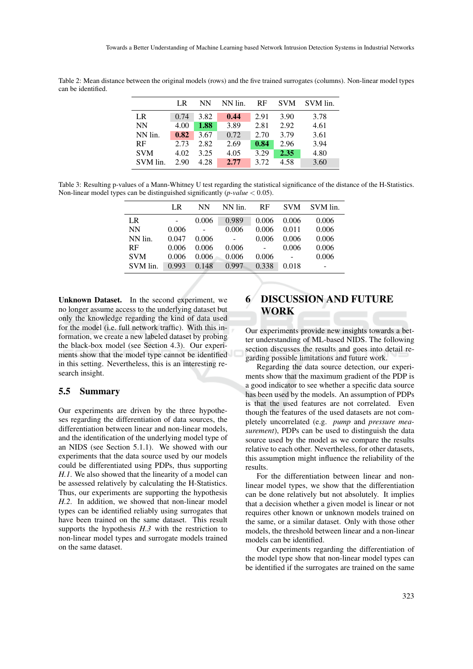|            | LR   | NN   | NN lin. | RF   | <b>SVM</b> | SVM lin. |
|------------|------|------|---------|------|------------|----------|
| LR.        | 0.74 | 3.82 | 0.44    | 2.91 | 3.90       | 3.78     |
| <b>NN</b>  | 4.00 | 1.88 | 3.89    | 2.81 | 2.92       | 4.61     |
| NN lin.    | 0.82 | 3.67 | 0.72    | 2.70 | 3.79       | 3.61     |
| RF         | 2.73 | 2.82 | 2.69    | 0.84 | 2.96       | 3.94     |
| <b>SVM</b> | 4.02 | 3.25 | 4.05    | 3.29 | 2.35       | 4.80     |
| SVM lin.   | 2.90 | 4.28 | 2.77    | 3.72 | 4.58       | 3.60     |

Table 2: Mean distance between the original models (rows) and the five trained surrogates (columns). Non-linear model types can be identified.

Table 3: Resulting p-values of a Mann-Whitney U test regarding the statistical significance of the distance of the H-Statistics. Non-linear model types can be distinguished significantly (*p-value* < 0.05).

|            | LR.   | NΝ    | NN lin. | <b>RF</b> | <b>SVM</b> | SVM lin. |
|------------|-------|-------|---------|-----------|------------|----------|
| LR         |       | 0.006 | 0.989   | 0.006     | 0.006      | 0.006    |
| <b>NN</b>  | 0.006 |       | 0.006   | 0.006     | 0.011      | 0.006    |
| NN lin.    | 0.047 | 0.006 |         | 0.006     | 0.006      | 0.006    |
| RF         | 0.006 | 0.006 | 0.006   |           | 0.006      | 0.006    |
| <b>SVM</b> | 0.006 | 0.006 | 0.006   | 0.006     | ÷          | 0.006    |
| SVM lin.   | 0.993 | 0.148 | 0.997   | 0.338     | 0.018      |          |

Unknown Dataset. In the second experiment, we no longer assume access to the underlying dataset but only the knowledge regarding the kind of data used for the model (i.e. full network traffic). With this information, we create a new labeled dataset by probing the black-box model (see Section 4.3). Our experiments show that the model type cannot be identified in this setting. Nevertheless, this is an interesting research insight.

### 5.5 Summary

Our experiments are driven by the three hypotheses regarding the differentiation of data sources, the differentiation between linear and non-linear models, and the identification of the underlying model type of an NIDS (see Section 5.1.1). We showed with our experiments that the data source used by our models could be differentiated using PDPs, thus supporting *H.1*. We also showed that the linearity of a model can be assessed relatively by calculating the H-Statistics. Thus, our experiments are supporting the hypothesis *H.2*. In addition, we showed that non-linear model types can be identified reliably using surrogates that have been trained on the same dataset. This result supports the hypothesis *H.3* with the restriction to non-linear model types and surrogate models trained on the same dataset.

# 6 DISCUSSION AND FUTURE WORK

Our experiments provide new insights towards a better understanding of ML-based NIDS. The following section discusses the results and goes into detail regarding possible limitations and future work.

Regarding the data source detection, our experiments show that the maximum gradient of the PDP is a good indicator to see whether a specific data source has been used by the models. An assumption of PDPs is that the used features are not correlated. Even though the features of the used datasets are not completely uncorrelated (e.g. *pump* and *pressure measurement*), PDPs can be used to distinguish the data source used by the model as we compare the results relative to each other. Nevertheless, for other datasets, this assumption might influence the reliability of the results.

For the differentiation between linear and nonlinear model types, we show that the differentiation can be done relatively but not absolutely. It implies that a decision whether a given model is linear or not requires other known or unknown models trained on the same, or a similar dataset. Only with those other models, the threshold between linear and a non-linear models can be identified.

Our experiments regarding the differentiation of the model type show that non-linear model types can be identified if the surrogates are trained on the same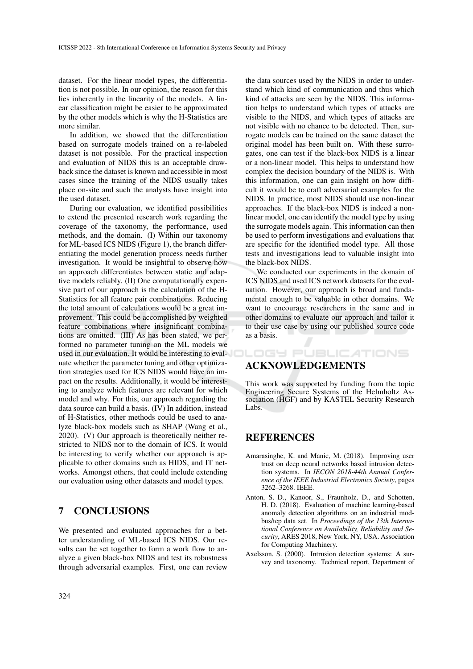dataset. For the linear model types, the differentiation is not possible. In our opinion, the reason for this lies inherently in the linearity of the models. A linear classification might be easier to be approximated by the other models which is why the H-Statistics are more similar.

In addition, we showed that the differentiation based on surrogate models trained on a re-labeled dataset is not possible. For the practical inspection and evaluation of NIDS this is an acceptable drawback since the dataset is known and accessible in most cases since the training of the NIDS usually takes place on-site and such the analysts have insight into the used dataset.

During our evaluation, we identified possibilities to extend the presented research work regarding the coverage of the taxonomy, the performance, used methods, and the domain. (I) Within our taxonomy for ML-based ICS NIDS (Figure 1), the branch differentiating the model generation process needs further investigation. It would be insightful to observe how an approach differentiates between static and adaptive models reliably. (II) One computationally expensive part of our approach is the calculation of the H-Statistics for all feature pair combinations. Reducing the total amount of calculations would be a great improvement. This could be accomplished by weighted feature combinations where insignificant combinations are omitted. (III) As has been stated, we performed no parameter tuning on the ML models we used in our evaluation. It would be interesting to evaluate whether the parameter tuning and other optimization strategies used for ICS NIDS would have an impact on the results. Additionally, it would be interesting to analyze which features are relevant for which model and why. For this, our approach regarding the data source can build a basis. (IV) In addition, instead of H-Statistics, other methods could be used to analyze black-box models such as SHAP (Wang et al., 2020). (V) Our approach is theoretically neither restricted to NIDS nor to the domain of ICS. It would be interesting to verify whether our approach is applicable to other domains such as HIDS, and IT networks. Amongst others, that could include extending our evaluation using other datasets and model types.

## 7 CONCLUSIONS

We presented and evaluated approaches for a better understanding of ML-based ICS NIDS. Our results can be set together to form a work flow to analyze a given black-box NIDS and test its robustness through adversarial examples. First, one can review

the data sources used by the NIDS in order to understand which kind of communication and thus which kind of attacks are seen by the NIDS. This information helps to understand which types of attacks are visible to the NIDS, and which types of attacks are not visible with no chance to be detected. Then, surrogate models can be trained on the same dataset the original model has been built on. With these surrogates, one can test if the black-box NIDS is a linear or a non-linear model. This helps to understand how complex the decision boundary of the NIDS is. With this information, one can gain insight on how difficult it would be to craft adversarial examples for the NIDS. In practice, most NIDS should use non-linear approaches. If the black-box NIDS is indeed a nonlinear model, one can identify the model type by using the surrogate models again. This information can then be used to perform investigations and evaluations that are specific for the identified model type. All those tests and investigations lead to valuable insight into the black-box NIDS.

We conducted our experiments in the domain of ICS NIDS and used ICS network datasets for the evaluation. However, our approach is broad and fundamental enough to be valuable in other domains. We want to encourage researchers in the same and in other domains to evaluate our approach and tailor it to their use case by using our published source code as a basis.

### ACKNOWLEDGEMENTS

This work was supported by funding from the topic Engineering Secure Systems of the Helmholtz Association (HGF) and by KASTEL Security Research Labs.

**ILOGY PUBLICATIONS** 

## **REFERENCES**

- Amarasinghe, K. and Manic, M. (2018). Improving user trust on deep neural networks based intrusion detection systems. In *IECON 2018-44th Annual Conference of the IEEE Industrial Electronics Society*, pages 3262–3268. IEEE.
- Anton, S. D., Kanoor, S., Fraunholz, D., and Schotten, H. D. (2018). Evaluation of machine learning-based anomaly detection algorithms on an industrial modbus/tcp data set. In *Proceedings of the 13th International Conference on Availability, Reliability and Security*, ARES 2018, New York, NY, USA. Association for Computing Machinery.
- Axelsson, S. (2000). Intrusion detection systems: A survey and taxonomy. Technical report, Department of